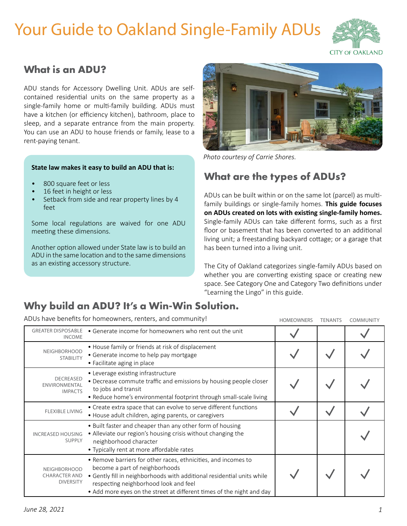# Your Guide to Oakland Single-Family ADUs



# **What is an ADU?**

ADU stands for Accessory Dwelling Unit. ADUs are selfcontained residential units on the same property as a single-family home or multi-family building. ADUs must have a kitchen (or efficiency kitchen), bathroom, place to sleep, and a separate entrance from the main property. You can use an ADU to house friends or family, lease to a rent-paying tenant.

#### **State law makes it easy to build an ADU that is:**

- 800 square feet or less
- 16 feet in height or less
- Setback from side and rear property lines by 4 feet

Some local regulations are waived for one ADU meeting these dimensions.

Another option allowed under State law is to build an ADU in the same location and to the same dimensions as an existing accessory structure.



*Photo courtesy of Carrie Shores.*

# **What are the types of ADUs?**

ADUs can be built within or on the same lot (parcel) as multifamily buildings or single-family homes. **This guide focuses on ADUs created on lots with existing single-family homes.** Single-family ADUs can take different forms, such as a first floor or basement that has been converted to an additional living unit; a freestanding backyard cottage; or a garage that has been turned into a living unit.

The City of Oakland categorizes single-family ADUs based on whether you are converting existing space or creating new space. See Category One and Category Two definitions under "Learning the Lingo" in this guide.

# **Why build an ADU? It's a Win-Win Solution.**

ADUs have benefits for homeowners, renters, and community!

| ADUs have benefits for homeowners, renters, and community!      |                                                                                                                                                                                                                                                                                              | <b>HOMEOWNERS</b> | <b>TENANTS</b> | COMMUNITY |
|-----------------------------------------------------------------|----------------------------------------------------------------------------------------------------------------------------------------------------------------------------------------------------------------------------------------------------------------------------------------------|-------------------|----------------|-----------|
| <b>GREATER DISPOSABLE</b><br><b>INCOME</b>                      | • Generate income for homeowners who rent out the unit                                                                                                                                                                                                                                       |                   |                |           |
| <b>NEIGHBORHOOD</b><br><b>STABILITY</b>                         | • House family or friends at risk of displacement<br>• Generate income to help pay mortgage<br>• Facilitate aging in place                                                                                                                                                                   |                   |                |           |
| <b>DECREASED</b><br>ENVIRONMENTAL<br><b>IMPACTS</b>             | • Leverage existing infrastructure<br>• Decrease commute traffic and emissions by housing people closer<br>to jobs and transit<br>• Reduce home's environmental footprint through small-scale living                                                                                         |                   |                |           |
| <b>FLEXIBLE LIVING</b>                                          | • Create extra space that can evolve to serve different functions<br>• House adult children, aging parents, or caregivers                                                                                                                                                                    |                   |                |           |
| <b>INCREASED HOUSING</b><br>SUPPLY                              | • Built faster and cheaper than any other form of housing<br>• Alleviate our region's housing crisis without changing the<br>neighborhood character<br>• Typically rent at more affordable rates                                                                                             |                   |                |           |
| <b>NEIGHBORHOOD</b><br><b>CHARACTER AND</b><br><b>DIVERSITY</b> | • Remove barriers for other races, ethnicities, and incomes to<br>become a part of neighborhoods<br>• Gently fill in neighborhoods with additional residential units while<br>respecting neighborhood look and feel<br>• Add more eyes on the street at different times of the night and day |                   |                |           |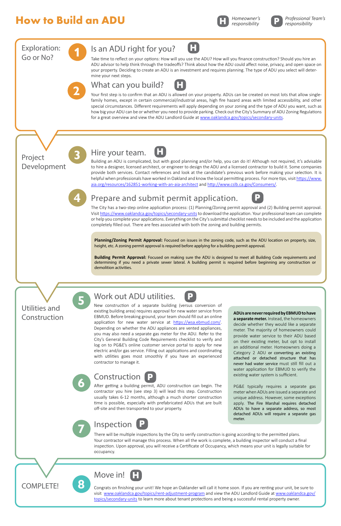# **How to Build an ADU**

Congrats on finishing your unit! We hope an Oaklander will call it home soon. If you are renting your unit, be sure to visit [www.oaklandca.gov/topics/rent-adjustment-program](https://www.oaklandca.gov/topics/rent-adjustment-program) and view the ADU Landlord Guide at [www.oaklandca.gov/](http://www.oaklandca.gov/topics/secondary-units) [topics/secondary-units](http://www.oaklandca.gov/topics/secondary-units) to learn more about tenant protections and being a successful rental property owner.



**8**



After getting a building permit, ADU construction can begin. The contractor you hire (see step 3) will lead this step. Construction usually takes 6-12 months, although a much shorter construction time is possible, especially with prefabricated ADUs that are built off-site and then transported to your property.

There will be multiple inspections by the City to verify construction is going according to the permitted plans. Your contractor will manage this process. When all the work is complete, a building inspector will conduct a final inspection. Upon approval, you will receive a Certificate of Occupancy, which means your unit is legally suitable for occupancy.





COMPLETE!



existing water system is sufficient.

PG&E typically requires a separate gas

meter when ADUs are issued a separate and unique address. However, some exceptions apply. The Fire Marshal requires detached ADUs to have a separate address, so most detached ADUs will require a separate gas meter.

**H** *Homeowner's responsibility*

*Professional Team's responsibility*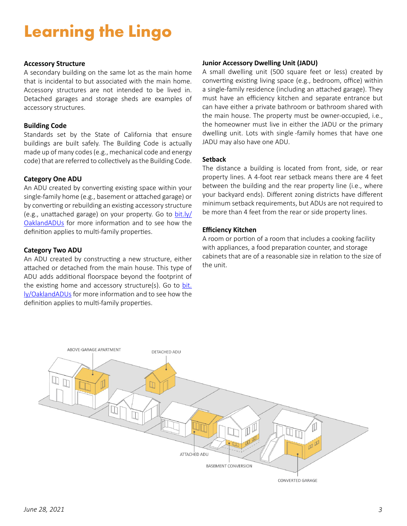# **Learning the Lingo**

#### **Accessory Structure**

A secondary building on the same lot as the main home that is incidental to but associated with the main home. Accessory structures are not intended to be lived in. Detached garages and storage sheds are examples of accessory structures.

#### **Building Code**

Standards set by the State of California that ensure buildings are built safely. The Building Code is actually made up of many codes (e.g., mechanical code and energy code) that are referred to collectively as the Building Code.

#### **Category One ADU**

An ADU created by converting existing space within your single-family home (e.g., basement or attached garage) or by converting or rebuilding an existing accessory structure (e.g., unattached garage) on your property. Go to [bit.ly/](http://bit.ly/OaklandADUs) [OaklandADUs](http://bit.ly/OaklandADUs) for more information and to see how the definition applies to multi-family properties.

#### **Category Two ADU**

An ADU created by constructing a new structure, either attached or detached from the main house. This type of ADU adds additional floorspace beyond the footprint of the existing home and accessory structure(s). Go to [bit.](http://bit.ly/OaklandADUs) [ly/OaklandADUs](http://bit.ly/OaklandADUs) for more information and to see how the definition applies to multi-family properties.

#### **Junior Accessory Dwelling Unit (JADU)**

A small dwelling unit (500 square feet or less) created by converting existing living space (e.g., bedroom, office) within a single-family residence (including an attached garage). They must have an efficiency kitchen and separate entrance but can have either a private bathroom or bathroom shared with the main house. The property must be owner-occupied, i.e., the homeowner must live in either the JADU or the primary dwelling unit. Lots with single -family homes that have one JADU may also have one ADU.

#### **Setback**

The distance a building is located from front, side, or rear property lines. A 4-foot rear setback means there are 4 feet between the building and the rear property line (i.e., where your backyard ends). Different zoning districts have different minimum setback requirements, but ADUs are not required to be more than 4 feet from the rear or side property lines.

#### **Efficiency Kitchen**

A room or portion of a room that includes a cooking facility with appliances, a food preparation counter, and storage cabinets that are of a reasonable size in relation to the size of the unit.

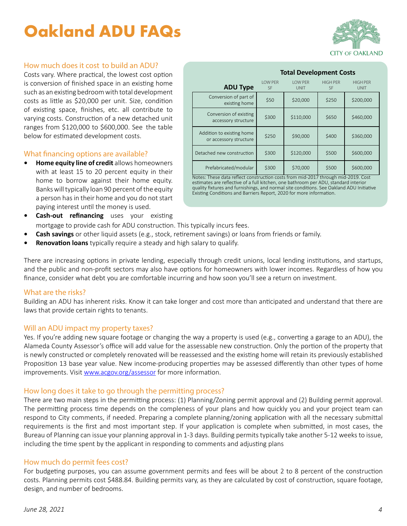# **Oakland ADU FAQs**



## How much does it cost to build an ADU?

Costs vary. Where practical, the lowest cost option is conversion of finished space in an existing home such as an existing bedroom with total development costs as little as \$20,000 per unit. Size, condition of existing space, finishes, etc. all contribute to varying costs. Construction of a new detached unit ranges from \$120,000 to \$600,000. See the table below for estimated development costs.

#### What financing options are available?

- **• Home equity line of credit** allows homeowners with at least 15 to 20 percent equity in their home to borrow against their home equity. Banks will typically loan 90 percent of the equity a person has in their home and you do not start paying interest until the money is used.
- **ADU Type** LOW PER SF LOW PER UNIT HIGH PER SF HIGH PER UNIT Conversion of part of  $e$ xisting home  $\begin{bmatrix} 50 \\ 50 \end{bmatrix}$  \$20,000 \$250 \$200,000 Conversion of existing  $\frac{300}{\text{accessory structure}}$  \$300  $\frac{300}{\text{seconds}}$  \$110,000 \$650 \$460,000 Addition to existing home or accessory structure  $\begin{vmatrix} 5250 \\ 250 \end{vmatrix}$  \$90,000 \$400 \$360,000 Detached new construction  $\begin{vmatrix} 5300 & 5120,000 & 5500 \end{vmatrix}$  \$600,000  $Prefabricated/modular$   $$300$   $$570,000$   $$500$   $$600,000$

Notes: These data reflect construction costs from mid-2017 through mid-2019. Cost estimates are reflective of a full kitchen, one bathroom per ADU, standard interior quality fixtures and furnishings, and normal site conditions. See Oakland ADU Initiative Existing Conditions and Barriers Report, 2020 for more information.

- **Cash-out refinancing** uses your existing mortgage to provide cash for ADU construction. This typically incurs fees.
- **• Cash savings** or other liquid assets (e.g., stock, retirement savings) or loans from friends or family.
- **• Renovation loans** typically require a steady and high salary to qualify.

There are increasing options in private lending, especially through credit unions, local lending institutions, and startups, and the public and non-profit sectors may also have options for homeowners with lower incomes. Regardless of how you finance, consider what debt you are comfortable incurring and how soon you'll see a return on investment.

#### What are the risks?

Building an ADU has inherent risks. Know it can take longer and cost more than anticipated and understand that there are laws that provide certain rights to tenants.

#### Will an ADU impact my property taxes?

Yes. If you're adding new square footage or changing the way a property is used (e.g., converting a garage to an ADU), the Alameda County Assessor's office will add value for the assessable new construction. Only the portion of the property that is newly constructed or completely renovated will be reassessed and the existing home will retain its previously established Proposition 13 base year value. New income-producing properties may be assessed differently than other types of home improvements. Visit [www.acgov.org/assessor](http://www.acgov.org/assessor) for more information.

## How long does it take to go through the permitting process?

There are two main steps in the permitting process: (1) Planning/Zoning permit approval and (2) Building permit approval. The permitting process time depends on the compleness of your plans and how quickly you and your project team can respond to City comments, if needed. Preparing a complete planning/zoning application with all the necessary submittal requirements is the first and most important step. If your application is complete when submitted, in most cases, the Bureau of Planning can issue your planning approval in 1-3 days. Building permits typically take another 5-12 weeks to issue, including the time spent by the applicant in responding to comments and adjusting plans

#### How much do permit fees cost?

For budgeting purposes, you can assume government permits and fees will be about 2 to 8 percent of the construction costs. Planning permits cost \$488.84. Building permits vary, as they are calculated by cost of construction, square footage, design, and number of bedrooms.

## **Total Development Costs**